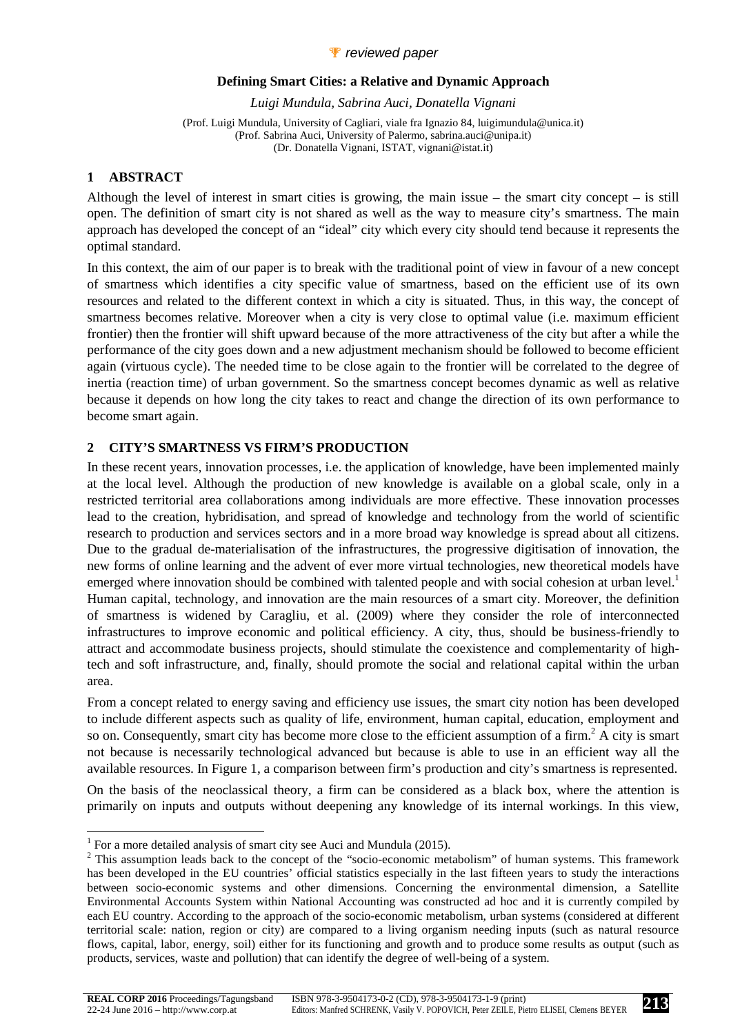## *P* reviewed paper

#### **Defining Smart Cities: a Relative and Dynamic Approach**

*Luigi Mundula, Sabrina Auci, Donatella Vignani* 

(Prof. Luigi Mundula, University of Cagliari, viale fra Ignazio 84, luigimundula@unica.it) (Prof. Sabrina Auci, University of Palermo, sabrina.auci@unipa.it) (Dr. Donatella Vignani, ISTAT, vignani@istat.it)

## **1 ABSTRACT**

l

Although the level of interest in smart cities is growing, the main issue – the smart city concept – is still open. The definition of smart city is not shared as well as the way to measure city's smartness. The main approach has developed the concept of an "ideal" city which every city should tend because it represents the optimal standard.

In this context, the aim of our paper is to break with the traditional point of view in favour of a new concept of smartness which identifies a city specific value of smartness, based on the efficient use of its own resources and related to the different context in which a city is situated. Thus, in this way, the concept of smartness becomes relative. Moreover when a city is very close to optimal value (i.e. maximum efficient frontier) then the frontier will shift upward because of the more attractiveness of the city but after a while the performance of the city goes down and a new adjustment mechanism should be followed to become efficient again (virtuous cycle). The needed time to be close again to the frontier will be correlated to the degree of inertia (reaction time) of urban government. So the smartness concept becomes dynamic as well as relative because it depends on how long the city takes to react and change the direction of its own performance to become smart again.

## **2 CITY'S SMARTNESS VS FIRM'S PRODUCTION**

In these recent years, innovation processes, i.e. the application of knowledge, have been implemented mainly at the local level. Although the production of new knowledge is available on a global scale, only in a restricted territorial area collaborations among individuals are more effective. These innovation processes lead to the creation, hybridisation, and spread of knowledge and technology from the world of scientific research to production and services sectors and in a more broad way knowledge is spread about all citizens. Due to the gradual de-materialisation of the infrastructures, the progressive digitisation of innovation, the new forms of online learning and the advent of ever more virtual technologies, new theoretical models have emerged where innovation should be combined with talented people and with social cohesion at urban level.<sup>1</sup> Human capital, technology, and innovation are the main resources of a smart city. Moreover, the definition of smartness is widened by Caragliu, et al. (2009) where they consider the role of interconnected infrastructures to improve economic and political efficiency. A city, thus, should be business-friendly to attract and accommodate business projects, should stimulate the coexistence and complementarity of hightech and soft infrastructure, and, finally, should promote the social and relational capital within the urban area.

From a concept related to energy saving and efficiency use issues, the smart city notion has been developed to include different aspects such as quality of life, environment, human capital, education, employment and so on. Consequently, smart city has become more close to the efficient assumption of a firm.<sup>2</sup> A city is smart not because is necessarily technological advanced but because is able to use in an efficient way all the available resources. In Figure 1, a comparison between firm's production and city's smartness is represented.

On the basis of the neoclassical theory, a firm can be considered as a black box, where the attention is primarily on inputs and outputs without deepening any knowledge of its internal workings. In this view,

<sup>&</sup>lt;sup>1</sup> For a more detailed analysis of smart city see Auci and Mundula (2015).

 $2$  This assumption leads back to the concept of the "socio-economic metabolism" of human systems. This framework has been developed in the EU countries' official statistics especially in the last fifteen years to study the interactions between socio-economic systems and other dimensions. Concerning the environmental dimension, a Satellite Environmental Accounts System within National Accounting was constructed ad hoc and it is currently compiled by each EU country. According to the approach of the socio-economic metabolism, urban systems (considered at different territorial scale: nation, region or city) are compared to a living organism needing inputs (such as natural resource flows, capital, labor, energy, soil) either for its functioning and growth and to produce some results as output (such as products, services, waste and pollution) that can identify the degree of well-being of a system.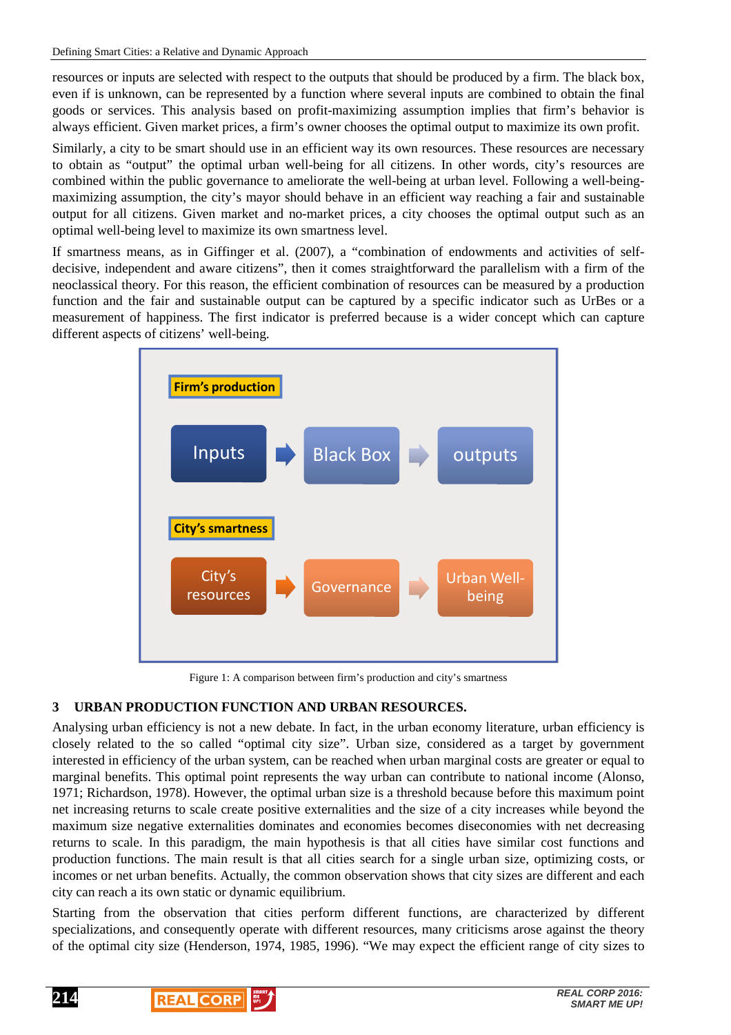resources or inputs are selected with respect to the outputs that should be produced by a firm. The black box, even if is unknown, can be represented by a function where several inputs are combined to obtain the final goods or services. This analysis based on profit-maximizing assumption implies that firm's behavior is always efficient. Given market prices, a firm's owner chooses the optimal output to maximize its own profit.

Similarly, a city to be smart should use in an efficient way its own resources. These resources are necessary to obtain as "output" the optimal urban well-being for all citizens. In other words, city's resources are combined within the public governance to ameliorate the well-being at urban level. Following a well-beingmaximizing assumption, the city's mayor should behave in an efficient way reaching a fair and sustainable output for all citizens. Given market and no-market prices, a city chooses the optimal output such as an optimal well-being level to maximize its own smartness level.

If smartness means, as in Giffinger et al. (2007), a "combination of endowments and activities of selfdecisive, independent and aware citizens", then it comes straightforward the parallelism with a firm of the neoclassical theory. For this reason, the efficient combination of resources can be measured by a production function and the fair and sustainable output can be captured by a specific indicator such as UrBes or a measurement of happiness. The first indicator is preferred because is a wider concept which can capture different aspects of citizens' well-being.



Figure 1: A comparison between firm's production and city's smartness

# **3 URBAN PRODUCTION FUNCTION AND URBAN RESOURCES.**

Analysing urban efficiency is not a new debate. In fact, in the urban economy literature, urban efficiency is closely related to the so called "optimal city size". Urban size, considered as a target by government interested in efficiency of the urban system, can be reached when urban marginal costs are greater or equal to marginal benefits. This optimal point represents the way urban can contribute to national income (Alonso, 1971; Richardson, 1978). However, the optimal urban size is a threshold because before this maximum point net increasing returns to scale create positive externalities and the size of a city increases while beyond the maximum size negative externalities dominates and economies becomes diseconomies with net decreasing returns to scale. In this paradigm, the main hypothesis is that all cities have similar cost functions and production functions. The main result is that all cities search for a single urban size, optimizing costs, or incomes or net urban benefits. Actually, the common observation shows that city sizes are different and each city can reach a its own static or dynamic equilibrium.

Starting from the observation that cities perform different functions, are characterized by different specializations, and consequently operate with different resources, many criticisms arose against the theory of the optimal city size (Henderson, 1974, 1985, 1996). "We may expect the efficient range of city sizes to



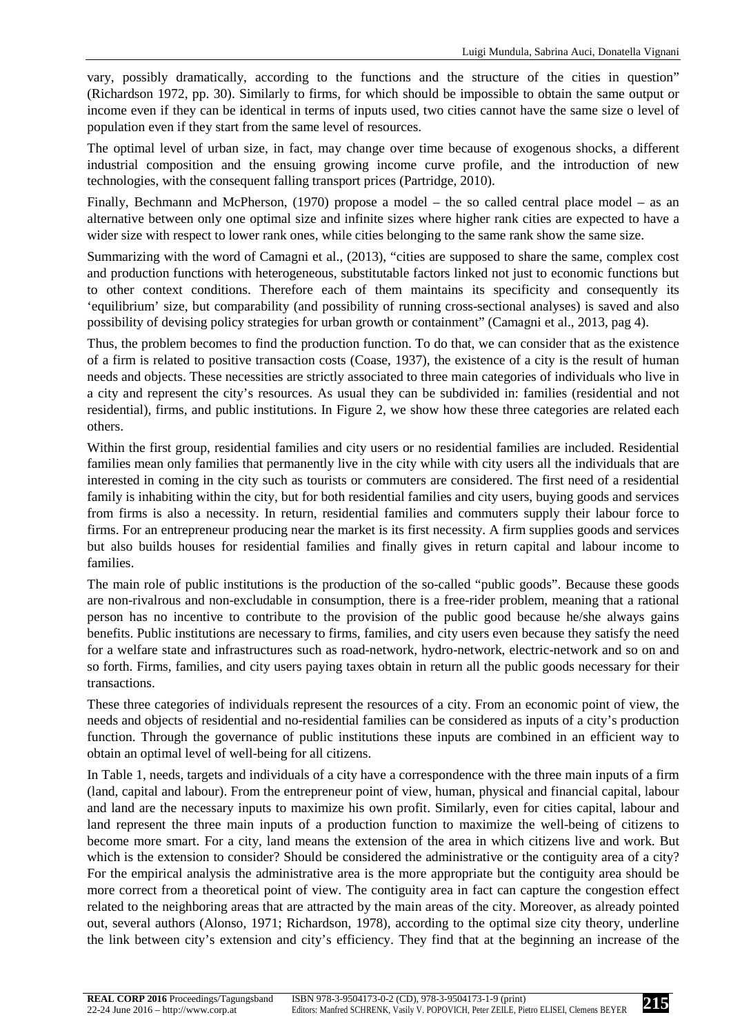vary, possibly dramatically, according to the functions and the structure of the cities in question" (Richardson 1972, pp. 30). Similarly to firms, for which should be impossible to obtain the same output or income even if they can be identical in terms of inputs used, two cities cannot have the same size o level of population even if they start from the same level of resources.

The optimal level of urban size, in fact, may change over time because of exogenous shocks, a different industrial composition and the ensuing growing income curve profile, and the introduction of new technologies, with the consequent falling transport prices (Partridge, 2010).

Finally, Bechmann and McPherson, (1970) propose a model – the so called central place model – as an alternative between only one optimal size and infinite sizes where higher rank cities are expected to have a wider size with respect to lower rank ones, while cities belonging to the same rank show the same size.

Summarizing with the word of Camagni et al., (2013), "cities are supposed to share the same, complex cost and production functions with heterogeneous, substitutable factors linked not just to economic functions but to other context conditions. Therefore each of them maintains its specificity and consequently its 'equilibrium' size, but comparability (and possibility of running cross-sectional analyses) is saved and also possibility of devising policy strategies for urban growth or containment" (Camagni et al., 2013, pag 4).

Thus, the problem becomes to find the production function. To do that, we can consider that as the existence of a firm is related to positive transaction costs (Coase, 1937), the existence of a city is the result of human needs and objects. These necessities are strictly associated to three main categories of individuals who live in a city and represent the city's resources. As usual they can be subdivided in: families (residential and not residential), firms, and public institutions. In Figure 2, we show how these three categories are related each others.

Within the first group, residential families and city users or no residential families are included. Residential families mean only families that permanently live in the city while with city users all the individuals that are interested in coming in the city such as tourists or commuters are considered. The first need of a residential family is inhabiting within the city, but for both residential families and city users, buying goods and services from firms is also a necessity. In return, residential families and commuters supply their labour force to firms. For an entrepreneur producing near the market is its first necessity. A firm supplies goods and services but also builds houses for residential families and finally gives in return capital and labour income to families.

The main role of public institutions is the production of the so-called "public goods". Because these goods are non-rivalrous and non-excludable in consumption, there is a free-rider problem, meaning that a rational person has no incentive to contribute to the provision of the public good because he/she always gains benefits. Public institutions are necessary to firms, families, and city users even because they satisfy the need for a welfare state and infrastructures such as road-network, hydro-network, electric-network and so on and so forth. Firms, families, and city users paying taxes obtain in return all the public goods necessary for their transactions.

These three categories of individuals represent the resources of a city. From an economic point of view, the needs and objects of residential and no-residential families can be considered as inputs of a city's production function. Through the governance of public institutions these inputs are combined in an efficient way to obtain an optimal level of well-being for all citizens.

In Table 1, needs, targets and individuals of a city have a correspondence with the three main inputs of a firm (land, capital and labour). From the entrepreneur point of view, human, physical and financial capital, labour and land are the necessary inputs to maximize his own profit. Similarly, even for cities capital, labour and land represent the three main inputs of a production function to maximize the well-being of citizens to become more smart. For a city, land means the extension of the area in which citizens live and work. But which is the extension to consider? Should be considered the administrative or the contiguity area of a city? For the empirical analysis the administrative area is the more appropriate but the contiguity area should be more correct from a theoretical point of view. The contiguity area in fact can capture the congestion effect related to the neighboring areas that are attracted by the main areas of the city. Moreover, as already pointed out, several authors (Alonso, 1971; Richardson, 1978), according to the optimal size city theory, underline the link between city's extension and city's efficiency. They find that at the beginning an increase of the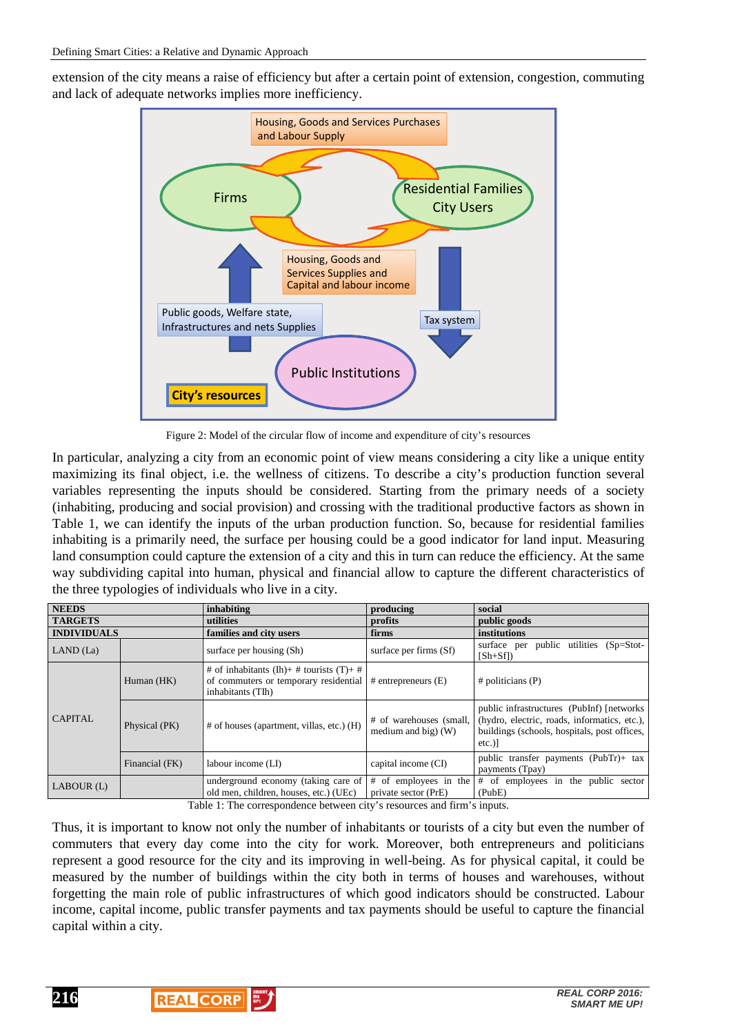extension of the city means a raise of efficiency but after a certain point of extension, congestion, commuting and lack of adequate networks implies more inefficiency.



Figure 2: Model of the circular flow of income and expenditure of city's resources

In particular, analyzing a city from an economic point of view means considering a city like a unique entity maximizing its final object, i.e. the wellness of citizens. To describe a city's production function several variables representing the inputs should be considered. Starting from the primary needs of a society (inhabiting, producing and social provision) and crossing with the traditional productive factors as shown in Table 1, we can identify the inputs of the urban production function. So, because for residential families inhabiting is a primarily need, the surface per housing could be a good indicator for land input. Measuring land consumption could capture the extension of a city and this in turn can reduce the efficiency. At the same way subdividing capital into human, physical and financial allow to capture the different characteristics of the three typologies of individuals who live in a city.

| <b>NEEDS</b>                                                                                                                         |                | inhabiting                                                                                                                               | producing                                        | social                                                                                                                                                  |
|--------------------------------------------------------------------------------------------------------------------------------------|----------------|------------------------------------------------------------------------------------------------------------------------------------------|--------------------------------------------------|---------------------------------------------------------------------------------------------------------------------------------------------------------|
| <b>TARGETS</b>                                                                                                                       |                | utilities                                                                                                                                | profits                                          | public goods                                                                                                                                            |
| <b>INDIVIDUALS</b>                                                                                                                   |                | families and city users                                                                                                                  | firms                                            | institutions                                                                                                                                            |
| LAND (La)                                                                                                                            |                | surface per housing (Sh)                                                                                                                 | surface per firms (Sf)                           | public utilities (Sp=Stot-<br>surface per<br>$[Sh+Sf]$                                                                                                  |
| <b>CAPITAL</b>                                                                                                                       | Human (HK)     | # of inhabitants (Ih)+ # tourists (T)+ #<br>of commuters or temporary residential $\frac{1}{2}$ # entrepreneurs (E)<br>inhabitants (TIh) |                                                  | $#$ politicians (P)                                                                                                                                     |
|                                                                                                                                      | Physical (PK)  | # of houses (apartment, villas, etc.) (H)                                                                                                | # of warehouses (small,<br>medium and big) $(W)$ | public infrastructures (PubInf) [networks]<br>(hydro, electric, roads, informatics, etc.),<br>buildings (schools, hospitals, post offices,<br>$etc.$ )] |
|                                                                                                                                      | Financial (FK) | labour income (LI)                                                                                                                       | capital income (CI)                              | public transfer payments (PubTr)+ tax<br>payments (Tpay)                                                                                                |
| $LABOUR$ (L)                                                                                                                         |                | underground economy (taking care of $\#$ of employees in the<br>old men, children, houses, etc.) (UEc)                                   | private sector (PrE)                             | # of employees in the public sector<br>(PubE)                                                                                                           |
| $\cdots$<br>-----<br>the contract of the contract of the contract of the contract of the contract of the contract of the contract of |                |                                                                                                                                          |                                                  |                                                                                                                                                         |

Table 1: The correspondence between city's resources and firm's inputs.

Thus, it is important to know not only the number of inhabitants or tourists of a city but even the number of commuters that every day come into the city for work. Moreover, both entrepreneurs and politicians represent a good resource for the city and its improving in well-being. As for physical capital, it could be measured by the number of buildings within the city both in terms of houses and warehouses, without forgetting the main role of public infrastructures of which good indicators should be constructed. Labour income, capital income, public transfer payments and tax payments should be useful to capture the financial capital within a city.

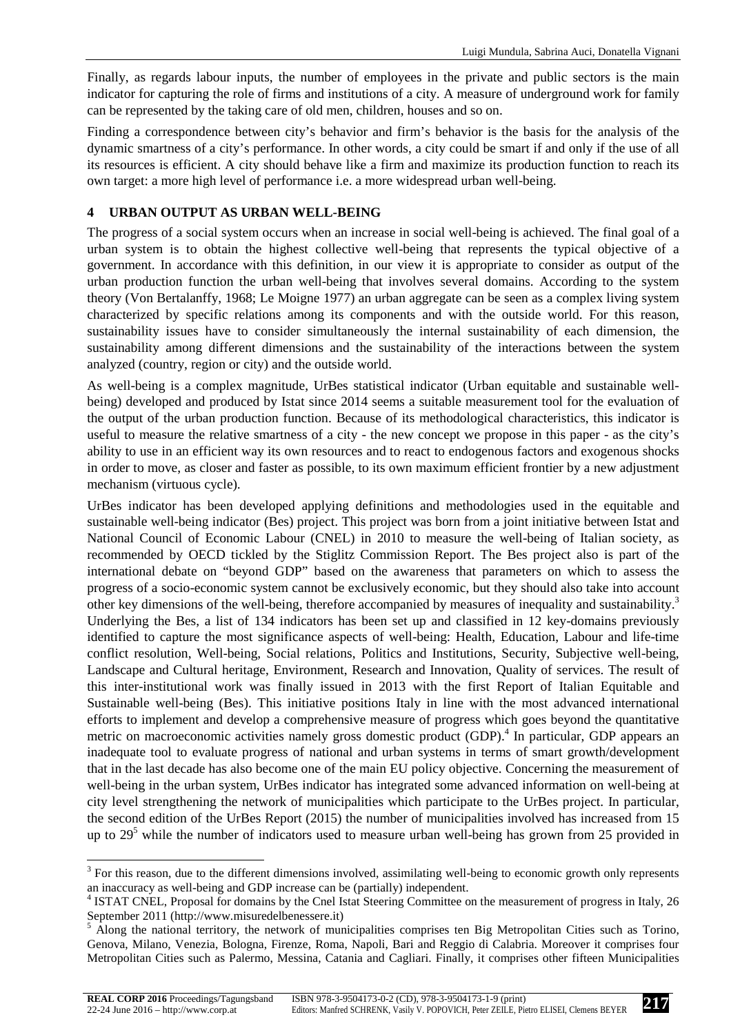Finally, as regards labour inputs, the number of employees in the private and public sectors is the main indicator for capturing the role of firms and institutions of a city. A measure of underground work for family can be represented by the taking care of old men, children, houses and so on.

Finding a correspondence between city's behavior and firm's behavior is the basis for the analysis of the dynamic smartness of a city's performance. In other words, a city could be smart if and only if the use of all its resources is efficient. A city should behave like a firm and maximize its production function to reach its own target: a more high level of performance i.e. a more widespread urban well-being.

## **4 URBAN OUTPUT AS URBAN WELL-BEING**

 $\overline{a}$ 

The progress of a social system occurs when an increase in social well-being is achieved. The final goal of a urban system is to obtain the highest collective well-being that represents the typical objective of a government. In accordance with this definition, in our view it is appropriate to consider as output of the urban production function the urban well-being that involves several domains. According to the system theory (Von Bertalanffy, 1968; Le Moigne 1977) an urban aggregate can be seen as a complex living system characterized by specific relations among its components and with the outside world. For this reason, sustainability issues have to consider simultaneously the internal sustainability of each dimension, the sustainability among different dimensions and the sustainability of the interactions between the system analyzed (country, region or city) and the outside world.

As well-being is a complex magnitude, UrBes statistical indicator (Urban equitable and sustainable wellbeing) developed and produced by Istat since 2014 seems a suitable measurement tool for the evaluation of the output of the urban production function. Because of its methodological characteristics, this indicator is useful to measure the relative smartness of a city - the new concept we propose in this paper - as the city's ability to use in an efficient way its own resources and to react to endogenous factors and exogenous shocks in order to move, as closer and faster as possible, to its own maximum efficient frontier by a new adjustment mechanism (virtuous cycle).

UrBes indicator has been developed applying definitions and methodologies used in the equitable and sustainable well-being indicator (Bes) project. This project was born from a joint initiative between Istat and National Council of Economic Labour (CNEL) in 2010 to measure the well-being of Italian society, as recommended by OECD tickled by the Stiglitz Commission Report. The Bes project also is part of the international debate on "beyond GDP" based on the awareness that parameters on which to assess the progress of a socio-economic system cannot be exclusively economic, but they should also take into account other key dimensions of the well-being, therefore accompanied by measures of inequality and sustainability.<sup>3</sup> Underlying the Bes, a list of 134 indicators has been set up and classified in 12 key-domains previously identified to capture the most significance aspects of well-being: Health, Education, Labour and life-time conflict resolution, Well-being, Social relations, Politics and Institutions, Security, Subjective well-being, Landscape and Cultural heritage, Environment, Research and Innovation, Quality of services. The result of this inter-institutional work was finally issued in 2013 with the first Report of Italian Equitable and Sustainable well-being (Bes). This initiative positions Italy in line with the most advanced international efforts to implement and develop a comprehensive measure of progress which goes beyond the quantitative metric on macroeconomic activities namely gross domestic product (GDP).<sup>4</sup> In particular, GDP appears an inadequate tool to evaluate progress of national and urban systems in terms of smart growth/development that in the last decade has also become one of the main EU policy objective. Concerning the measurement of well-being in the urban system, UrBes indicator has integrated some advanced information on well-being at city level strengthening the network of municipalities which participate to the UrBes project. In particular, the second edition of the UrBes Report (2015) the number of municipalities involved has increased from 15 up to 29<sup>5</sup> while the number of indicators used to measure urban well-being has grown from 25 provided in

 $3$  For this reason, due to the different dimensions involved, assimilating well-being to economic growth only represents an inaccuracy as well-being and GDP increase can be (partially) independent.

<sup>4</sup> ISTAT CNEL, Proposal for domains by the Cnel Istat Steering Committee on the measurement of progress in Italy, 26

September 2011 (http://www.misuredelbenessere.it)<br><sup>5</sup> Along the national territory, the network of municipalities comprises ten Big Metropolitan Cities such as Torino, Genova, Milano, Venezia, Bologna, Firenze, Roma, Napoli, Bari and Reggio di Calabria. Moreover it comprises four Metropolitan Cities such as Palermo, Messina, Catania and Cagliari. Finally, it comprises other fifteen Municipalities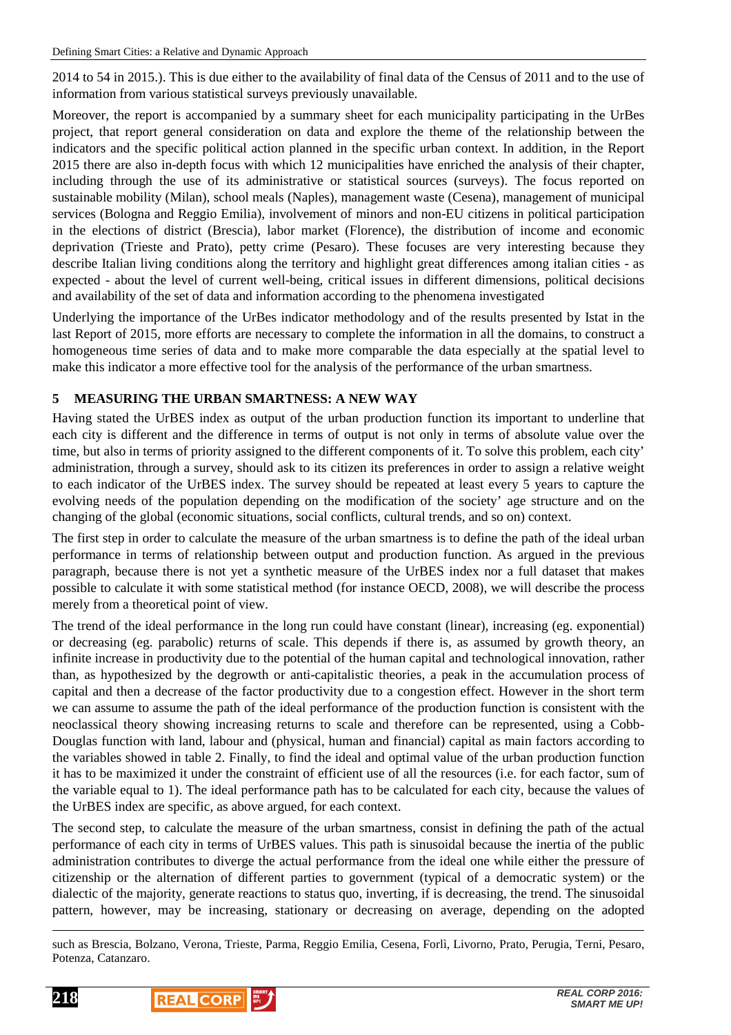2014 to 54 in 2015.). This is due either to the availability of final data of the Census of 2011 and to the use of information from various statistical surveys previously unavailable.

Moreover, the report is accompanied by a summary sheet for each municipality participating in the UrBes project, that report general consideration on data and explore the theme of the relationship between the indicators and the specific political action planned in the specific urban context. In addition, in the Report 2015 there are also in-depth focus with which 12 municipalities have enriched the analysis of their chapter, including through the use of its administrative or statistical sources (surveys). The focus reported on sustainable mobility (Milan), school meals (Naples), management waste (Cesena), management of municipal services (Bologna and Reggio Emilia), involvement of minors and non-EU citizens in political participation in the elections of district (Brescia), labor market (Florence), the distribution of income and economic deprivation (Trieste and Prato), petty crime (Pesaro). These focuses are very interesting because they describe Italian living conditions along the territory and highlight great differences among italian cities - as expected - about the level of current well-being, critical issues in different dimensions, political decisions and availability of the set of data and information according to the phenomena investigated

Underlying the importance of the UrBes indicator methodology and of the results presented by Istat in the last Report of 2015, more efforts are necessary to complete the information in all the domains, to construct a homogeneous time series of data and to make more comparable the data especially at the spatial level to make this indicator a more effective tool for the analysis of the performance of the urban smartness.

# **5 MEASURING THE URBAN SMARTNESS: A NEW WAY**

Having stated the UrBES index as output of the urban production function its important to underline that each city is different and the difference in terms of output is not only in terms of absolute value over the time, but also in terms of priority assigned to the different components of it. To solve this problem, each city' administration, through a survey, should ask to its citizen its preferences in order to assign a relative weight to each indicator of the UrBES index. The survey should be repeated at least every 5 years to capture the evolving needs of the population depending on the modification of the society' age structure and on the changing of the global (economic situations, social conflicts, cultural trends, and so on) context.

The first step in order to calculate the measure of the urban smartness is to define the path of the ideal urban performance in terms of relationship between output and production function. As argued in the previous paragraph, because there is not yet a synthetic measure of the UrBES index nor a full dataset that makes possible to calculate it with some statistical method (for instance OECD, 2008), we will describe the process merely from a theoretical point of view.

The trend of the ideal performance in the long run could have constant (linear), increasing (eg. exponential) or decreasing (eg. parabolic) returns of scale. This depends if there is, as assumed by growth theory, an infinite increase in productivity due to the potential of the human capital and technological innovation, rather than, as hypothesized by the degrowth or anti-capitalistic theories, a peak in the accumulation process of capital and then a decrease of the factor productivity due to a congestion effect. However in the short term we can assume to assume the path of the ideal performance of the production function is consistent with the neoclassical theory showing increasing returns to scale and therefore can be represented, using a Cobb-Douglas function with land, labour and (physical, human and financial) capital as main factors according to the variables showed in table 2. Finally, to find the ideal and optimal value of the urban production function it has to be maximized it under the constraint of efficient use of all the resources (i.e. for each factor, sum of the variable equal to 1). The ideal performance path has to be calculated for each city, because the values of the UrBES index are specific, as above argued, for each context.

The second step, to calculate the measure of the urban smartness, consist in defining the path of the actual performance of each city in terms of UrBES values. This path is sinusoidal because the inertia of the public administration contributes to diverge the actual performance from the ideal one while either the pressure of citizenship or the alternation of different parties to government (typical of a democratic system) or the dialectic of the majority, generate reactions to status quo, inverting, if is decreasing, the trend. The sinusoidal pattern, however, may be increasing, stationary or decreasing on average, depending on the adopted

such as Brescia, Bolzano, Verona, Trieste, Parma, Reggio Emilia, Cesena, Forlì, Livorno, Prato, Perugia, Terni, Pesaro, Potenza, Catanzaro.





 $\overline{a}$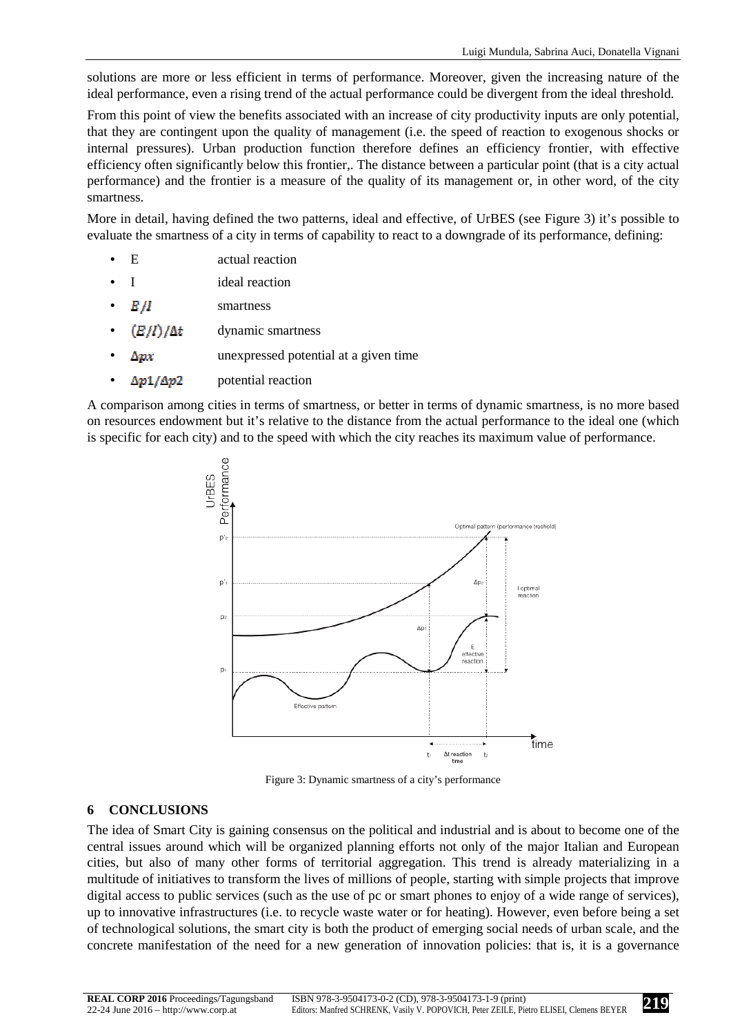solutions are more or less efficient in terms of performance. Moreover, given the increasing nature of the ideal performance, even a rising trend of the actual performance could be divergent from the ideal threshold.

From this point of view the benefits associated with an increase of city productivity inputs are only potential, that they are contingent upon the quality of management (i.e. the speed of reaction to exogenous shocks or internal pressures). Urban production function therefore defines an efficiency frontier, with effective efficiency often significantly below this frontier,. The distance between a particular point (that is a city actual performance) and the frontier is a measure of the quality of its management or, in other word, of the city smartness.

More in detail, having defined the two patterns, ideal and effective, of UrBES (see Figure 3) it's possible to evaluate the smartness of a city in terms of capability to react to a downgrade of its performance, defining:

- E actual reaction
- I ideal reaction
- $E/I$  smartness
- $(E/I) / \Delta t$  dynamic smartness
- $\Delta px$  unexpressed potential at a given time
- $\Delta p \mathbf{1}/\Delta p$  potential reaction

A comparison among cities in terms of smartness, or better in terms of dynamic smartness, is no more based on resources endowment but it's relative to the distance from the actual performance to the ideal one (which is specific for each city) and to the speed with which the city reaches its maximum value of performance.



Figure 3: Dynamic smartness of a city's performance

#### **6 CONCLUSIONS**

The idea of Smart City is gaining consensus on the political and industrial and is about to become one of the central issues around which will be organized planning efforts not only of the major Italian and European cities, but also of many other forms of territorial aggregation. This trend is already materializing in a multitude of initiatives to transform the lives of millions of people, starting with simple projects that improve digital access to public services (such as the use of pc or smart phones to enjoy of a wide range of services), up to innovative infrastructures (i.e. to recycle waste water or for heating). However, even before being a set of technological solutions, the smart city is both the product of emerging social needs of urban scale, and the concrete manifestation of the need for a new generation of innovation policies: that is, it is a governance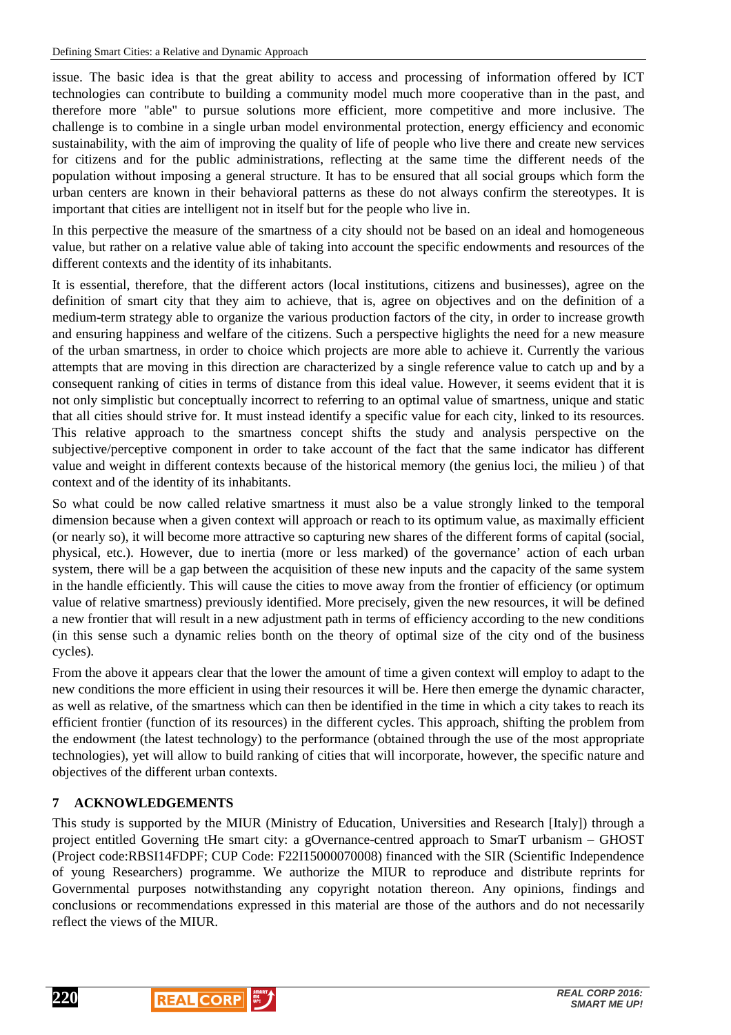issue. The basic idea is that the great ability to access and processing of information offered by ICT technologies can contribute to building a community model much more cooperative than in the past, and therefore more "able" to pursue solutions more efficient, more competitive and more inclusive. The challenge is to combine in a single urban model environmental protection, energy efficiency and economic sustainability, with the aim of improving the quality of life of people who live there and create new services for citizens and for the public administrations, reflecting at the same time the different needs of the population without imposing a general structure. It has to be ensured that all social groups which form the urban centers are known in their behavioral patterns as these do not always confirm the stereotypes. It is important that cities are intelligent not in itself but for the people who live in.

In this perpective the measure of the smartness of a city should not be based on an ideal and homogeneous value, but rather on a relative value able of taking into account the specific endowments and resources of the different contexts and the identity of its inhabitants.

It is essential, therefore, that the different actors (local institutions, citizens and businesses), agree on the definition of smart city that they aim to achieve, that is, agree on objectives and on the definition of a medium-term strategy able to organize the various production factors of the city, in order to increase growth and ensuring happiness and welfare of the citizens. Such a perspective higlights the need for a new measure of the urban smartness, in order to choice which projects are more able to achieve it. Currently the various attempts that are moving in this direction are characterized by a single reference value to catch up and by a consequent ranking of cities in terms of distance from this ideal value. However, it seems evident that it is not only simplistic but conceptually incorrect to referring to an optimal value of smartness, unique and static that all cities should strive for. It must instead identify a specific value for each city, linked to its resources. This relative approach to the smartness concept shifts the study and analysis perspective on the subjective/perceptive component in order to take account of the fact that the same indicator has different value and weight in different contexts because of the historical memory (the genius loci, the milieu ) of that context and of the identity of its inhabitants.

So what could be now called relative smartness it must also be a value strongly linked to the temporal dimension because when a given context will approach or reach to its optimum value, as maximally efficient (or nearly so), it will become more attractive so capturing new shares of the different forms of capital (social, physical, etc.). However, due to inertia (more or less marked) of the governance' action of each urban system, there will be a gap between the acquisition of these new inputs and the capacity of the same system in the handle efficiently. This will cause the cities to move away from the frontier of efficiency (or optimum value of relative smartness) previously identified. More precisely, given the new resources, it will be defined a new frontier that will result in a new adjustment path in terms of efficiency according to the new conditions (in this sense such a dynamic relies bonth on the theory of optimal size of the city ond of the business cycles).

From the above it appears clear that the lower the amount of time a given context will employ to adapt to the new conditions the more efficient in using their resources it will be. Here then emerge the dynamic character, as well as relative, of the smartness which can then be identified in the time in which a city takes to reach its efficient frontier (function of its resources) in the different cycles. This approach, shifting the problem from the endowment (the latest technology) to the performance (obtained through the use of the most appropriate technologies), yet will allow to build ranking of cities that will incorporate, however, the specific nature and objectives of the different urban contexts.

# **7 ACKNOWLEDGEMENTS**

This study is supported by the MIUR (Ministry of Education, Universities and Research [Italy]) through a project entitled Governing tHe smart city: a gOvernance-centred approach to SmarT urbanism – GHOST (Project code:RBSI14FDPF; CUP Code: F22I15000070008) financed with the SIR (Scientific Independence of young Researchers) programme. We authorize the MIUR to reproduce and distribute reprints for Governmental purposes notwithstanding any copyright notation thereon. Any opinions, findings and conclusions or recommendations expressed in this material are those of the authors and do not necessarily reflect the views of the MIUR.